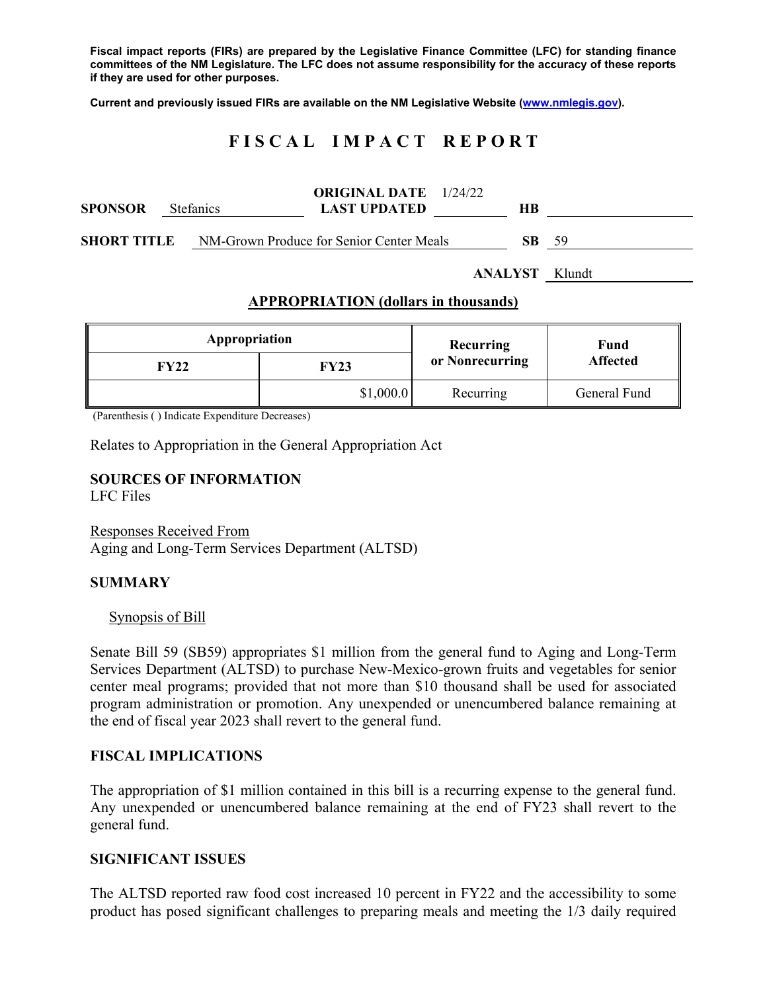**Fiscal impact reports (FIRs) are prepared by the Legislative Finance Committee (LFC) for standing finance committees of the NM Legislature. The LFC does not assume responsibility for the accuracy of these reports if they are used for other purposes.** 

**Current and previously issued FIRs are available on the NM Legislative Website (www.nmlegis.gov).** 

## **F I S C A L I M P A C T R E P O R T**

| <b>SPONSOR</b>     | <b>Stefanics</b> | <b>ORIGINAL DATE</b> 1/24/22<br><b>LAST UPDATED</b> | HВ  |     |
|--------------------|------------------|-----------------------------------------------------|-----|-----|
| <b>SHORT TITLE</b> |                  | NM-Grown Produce for Senior Center Meals            | SB. | -59 |

**ANALYST** Klundt

### **APPROPRIATION (dollars in thousands)**

| Appropriation |           | Recurring       | Fund<br><b>Affected</b> |  |
|---------------|-----------|-----------------|-------------------------|--|
| FY22          | FY23      | or Nonrecurring |                         |  |
|               | \$1,000.0 | Recurring       | General Fund            |  |

(Parenthesis ( ) Indicate Expenditure Decreases)

Relates to Appropriation in the General Appropriation Act

# **SOURCES OF INFORMATION**

LFC Files

Responses Received From Aging and Long-Term Services Department (ALTSD)

### **SUMMARY**

Synopsis of Bill

Senate Bill 59 (SB59) appropriates \$1 million from the general fund to Aging and Long-Term Services Department (ALTSD) to purchase New-Mexico-grown fruits and vegetables for senior center meal programs; provided that not more than \$10 thousand shall be used for associated program administration or promotion. Any unexpended or unencumbered balance remaining at the end of fiscal year 2023 shall revert to the general fund.

### **FISCAL IMPLICATIONS**

The appropriation of \$1 million contained in this bill is a recurring expense to the general fund. Any unexpended or unencumbered balance remaining at the end of FY23 shall revert to the general fund.

### **SIGNIFICANT ISSUES**

The ALTSD reported raw food cost increased 10 percent in FY22 and the accessibility to some product has posed significant challenges to preparing meals and meeting the 1/3 daily required